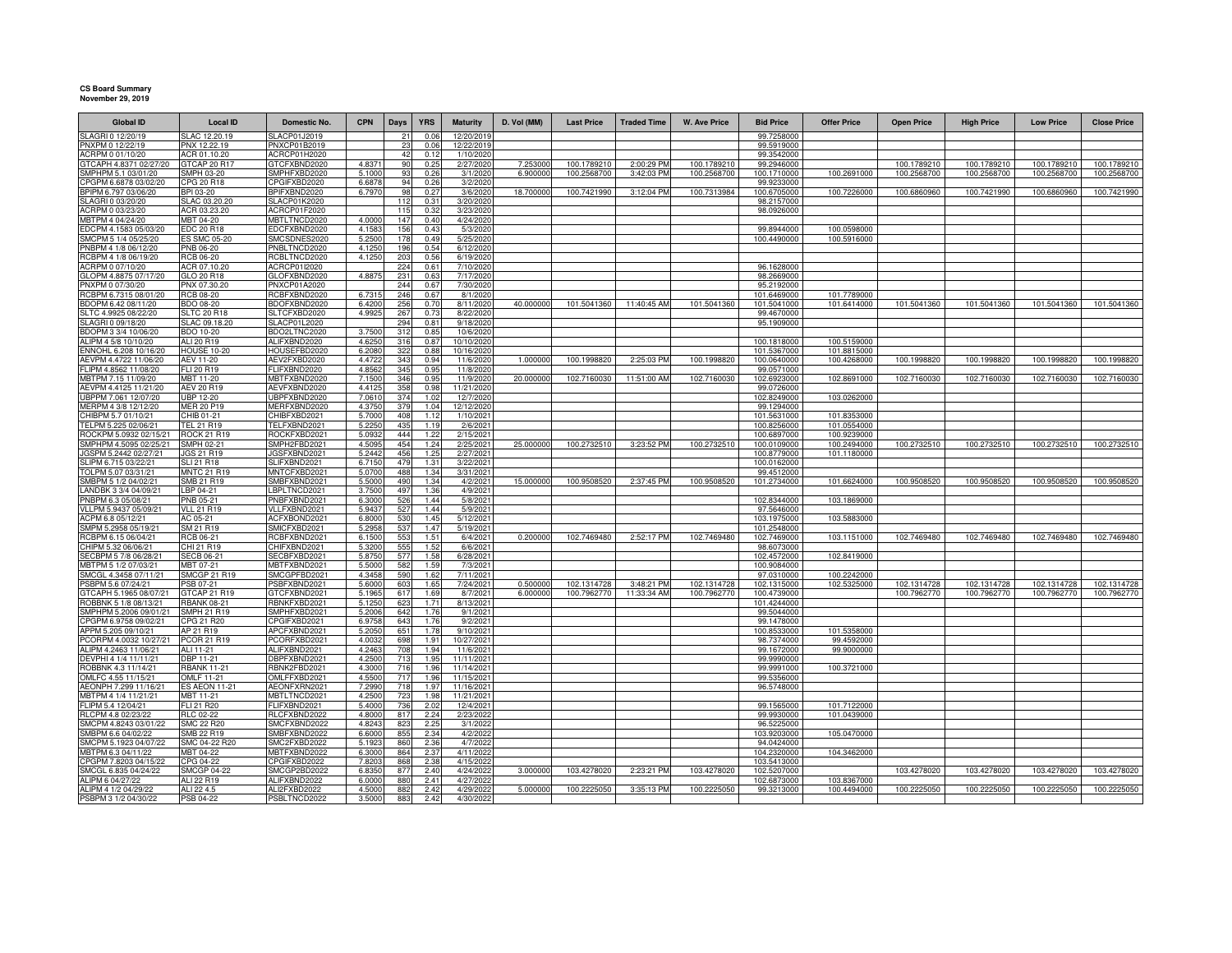## **CS Board Summary November 29, 2019**

| <b>Global ID</b>                                | <b>Local ID</b>                   | Domestic No.                 | <b>CPN</b>       | Days       | <b>YRS</b>   | <b>Maturity</b>          | D. Vol (MM)         | <b>Last Price</b>          | <b>Traded Time</b>       | <b>W. Ave Price</b>        | <b>Bid Price</b>           | <b>Offer Price</b>         | <b>Open Price</b>          | <b>High Price</b>          | <b>Low Price</b>           | <b>Close Price</b>         |
|-------------------------------------------------|-----------------------------------|------------------------------|------------------|------------|--------------|--------------------------|---------------------|----------------------------|--------------------------|----------------------------|----------------------------|----------------------------|----------------------------|----------------------------|----------------------------|----------------------------|
| SLAGRI 0 12/20/19                               | SLAC 12.20.19                     | SLACP01J2019                 |                  | 21         | 0.06         | 12/20/201                |                     |                            |                          |                            | 99.7258000                 |                            |                            |                            |                            |                            |
| PNXPM 0 12/22/19                                | PNX 12.22.19                      | PNXCP01B2019                 |                  | 23         | 0.06         | 12/22/2019               |                     |                            |                          |                            | 99.5919000                 |                            |                            |                            |                            |                            |
| ACRPM 0 01/10/20                                | ACR 01.10.20                      | ACRCP01H2020                 |                  | 42         | 0.12         | 1/10/2020                |                     |                            |                          |                            | 99.3542000                 |                            |                            |                            |                            |                            |
| GTCAPH 4.8371 02/27/20<br>SMPHPM 5.1 03/01/20   | GTCAP 20 R17<br>SMPH 03-20        | GTCFXBND2020<br>SMPHFXBD2020 | 4.8371<br>5.1000 | 90<br>93   | 0.25<br>0.26 | 2/27/2020<br>3/1/202     | 7.25300<br>6.900000 | 100.1789210<br>100.2568700 | 2:00:29 PM<br>3:42:03 PM | 100.1789210<br>100.2568700 | 99.2946000<br>100.1710000  | 100.2691000                | 100.1789210<br>100.2568700 | 100.1789210<br>100.2568700 | 100.1789210<br>100.2568700 | 100.1789210<br>100.2568700 |
| CPGPM 6.6878 03/02/20                           | CPG 20 R18                        | CPGIFXBD2020                 | 6.6878           | 94         | 0.26         | 3/2/2020                 |                     |                            |                          |                            | 99.9233000                 |                            |                            |                            |                            |                            |
| BPIPM 6.797 03/06/20                            | BPI 03-20                         | BPIFXBND2020                 | 6.797            | 98         | 0.27         | 3/6/2020                 | 18.70000            | 100.7421990                | 3:12:04 PM               | 100.7313984                | 100.6705000                | 100.7226000                | 100.6860960                | 100.7421990                | 100.6860960                | 100.7421990                |
| SLAGRI 0 03/20/20                               | SLAC 03.20.20                     | SLACP01K2020                 |                  | 112        | 0.31         | 3/20/2020                |                     |                            |                          |                            | 98.2157000                 |                            |                            |                            |                            |                            |
| ACRPM 0 03/23/20                                | ACR 03.23.20                      | ACRCP01F2020                 |                  | 115        | 0.32         | 3/23/2020                |                     |                            |                          |                            | 98.0926000                 |                            |                            |                            |                            |                            |
| MBTPM 4 04/24/20<br>EDCPM 4.1583 05/03/20       | MBT 04-20<br><b>EDC 20 R18</b>    | MBTLTNCD2020<br>EDCFXBND2020 | 4.000<br>4.158   | 147<br>156 | 0.40<br>0.43 | 4/24/2020<br>5/3/2020    |                     |                            |                          |                            | 99.8944000                 | 100.0598000                |                            |                            |                            |                            |
| SMCPM 5 1/4 05/25/20                            | <b>ES SMC 05-20</b>               | SMCSDNES2020                 | 5.250            | 178        | 0.49         | 5/25/2020                |                     |                            |                          |                            | 100.4490000                | 100.5916000                |                            |                            |                            |                            |
| PNBPM 4 1/8 06/12/20                            | <b>PNB 06-20</b>                  | PNBLTNCD2020                 | 4.125            | 196        | 0.54         | 6/12/2020                |                     |                            |                          |                            |                            |                            |                            |                            |                            |                            |
| RCBPM 4 1/8 06/19/20                            | RCB 06-20                         | RCBLTNCD2020                 | 4.125            | 203        | 0.56         | 6/19/2020                |                     |                            |                          |                            |                            |                            |                            |                            |                            |                            |
| ACRPM 0 07/10/20                                | ACR 07.10.20                      | ACRCP01I2020                 |                  | 224        | 0.61         | 7/10/2020                |                     |                            |                          |                            | 96.1628000                 |                            |                            |                            |                            |                            |
| GLOPM 4.8875 07/17/20                           | GLO 20 R18                        | GLOFXBND2020                 | 4.887            | 231        | 0.63         | 7/17/2020                |                     |                            |                          |                            | 98.2669000                 |                            |                            |                            |                            |                            |
| PNXPM 0 07/30/20<br>RCBPM 6.7315 08/01/20       | PNX 07.30.20<br><b>RCB 08-20</b>  | PNXCP01A2020<br>RCBFXBND2020 | 6.731            | 244<br>246 | 0.67<br>0.67 | 7/30/2020<br>8/1/2020    |                     |                            |                          |                            | 95.2192000<br>101.6469000  | 101.7789000                |                            |                            |                            |                            |
| BDOPM 6.42 08/11/20                             | BDO 08-20                         | BDOFXBND2020                 | 6.420            | 256        | 0.70         | 8/11/2020                | 40.000000           | 101.5041360                | 11:40:45 AM              | 101.5041360                | 101.5041000                | 101.6414000                | 101.5041360                | 101.5041360                | 101.5041360                | 101.5041360                |
| SLTC 4.9925 08/22/20                            | <b>SLTC 20 R18</b>                | SLTCFXBD2020                 | 4.992            | 267        | 0.73         | 8/22/2020                |                     |                            |                          |                            | 99.4670000                 |                            |                            |                            |                            |                            |
| SLAGRI 0 09/18/20                               | SLAC 09.18.20                     | SLACP01L2020                 |                  | 294        | 0.81         | 9/18/202                 |                     |                            |                          |                            | 95.1909000                 |                            |                            |                            |                            |                            |
| BDOPM 3 3/4 10/06/20                            | BDO 10-20                         | BDO2LTNC2020                 | 3.750            | 312        | 0.85         | 10/6/2020                |                     |                            |                          |                            |                            |                            |                            |                            |                            |                            |
| ALIPM 4 5/8 10/10/20<br>ENNOHL 6.208 10/16/20   | ALI 20 R19<br><b>HOUSE 10-20</b>  | ALIFXBND2020<br>HOUSEFBD2020 | 4.625<br>6.208   | 316<br>322 | 0.87<br>0.88 | 10/10/202<br>10/16/2020  |                     |                            |                          |                            | 100.1818000<br>101.5367000 | 100.5159000<br>101.8815000 |                            |                            |                            |                            |
| AEVPM 4.4722 11/06/20                           | AEV 11-20                         | AEV2FXBD2020                 | 4.472            | 343        | 0.94         | 11/6/202                 | 1.000000            | 100.1998820                | 2:25:03 PM               | 100.1998820                | 100.0640000                | 100.4268000                | 100.1998820                | 100.1998820                | 100.1998820                | 100.1998820                |
| FLIPM 4.8562 11/08/20                           | FLI 20 R19                        | FLIFXBND2020                 | 4.856            | 345        | 0.95         | 11/8/2020                |                     |                            |                          |                            | 99.0571000                 |                            |                            |                            |                            |                            |
| MBTPM 7.15 11/09/20                             | MBT 11-20                         | MBTFXBND2020                 | 7.150            | 346        | 0.95         | 11/9/202                 | 20,000000           | 102.7160030                | 11:51:00 AM              | 102.7160030                | 102.6923000                | 102.8691000                | 102.7160030                | 102.7160030                | 102.7160030                | 102.7160030                |
| AEVPM 4.4125 11/21/20                           | <b>AEV 20 R19</b>                 | AEVFXBND2020                 | 4.412            | 358        | 0.98         | 11/21/2020               |                     |                            |                          |                            | 99.0726000                 |                            |                            |                            |                            |                            |
| UBPPM 7.061 12/07/20                            | UBP 12-20                         | UBPFXBND2020                 | 7.061            | 374        | 1.02         | 12/7/202                 |                     |                            |                          |                            | 102.8249000                | 103.0262000                |                            |                            |                            |                            |
| MERPM 4 3/8 12/12/20                            | <b>MER 20 P19</b>                 | MERFXBND2020                 | 4.375            | 379        | 1.04         | 12/12/2020               |                     |                            |                          |                            | 99.1294000                 |                            |                            |                            |                            |                            |
| CHIBPM 5.7 01/10/21<br>TELPM 5.225 02/06/21     | CHIB 01-21<br><b>TEL 21 R19</b>   | CHIBFXBD2021<br>TELFXBND2021 | 5.700<br>5.225   | 408<br>435 | 1.12<br>1.19 | 1/10/2021<br>2/6/202     |                     |                            |                          |                            | 101.5631000<br>100.8256000 | 101.8353000<br>101.0554000 |                            |                            |                            |                            |
| ROCKPM 5.0932 02/15/21                          | <b>ROCK 21 R19</b>                | ROCKFXBD2021                 | 5.093            | 444        | 1.22         | 2/15/2021                |                     |                            |                          |                            | 100.6897000                | 100.9239000                |                            |                            |                            |                            |
| SMPHPM 4.5095 02/25/21                          | <b>SMPH 02-21</b>                 | SMPH2FBD2021                 | 4.509            | 454        | 1.24         | 2/25/2021                | 25,00000            | 100.2732510                | 3:23:52 PM               | 100.273251                 | 100.0109000                | 100.2494000                | 100.2732510                | 100.2732510                | 100.273251                 | 100.2732510                |
| GSPM 5.2442 02/27/21                            | GS 21 R19                         | <b>JGSFXBND202</b>           | 5.244            | 456        | 1.2!         | 2/27/2021                |                     |                            |                          |                            | 100.8779000                | 101.1180000                |                            |                            |                            |                            |
| SLIPM 6.715 03/22/21                            | <b>SLI 21 R18</b>                 | SLIFXBND2021                 | 6.715            | 479        | 1.31         | 3/22/2021                |                     |                            |                          |                            | 100.0162000                |                            |                            |                            |                            |                            |
| OLPM 5.07 03/31/21                              | <b>MNTC 21 R19</b>                | MNTCFXBD2021                 | 5.070            | 488        | 1.34         | 3/31/2021                |                     |                            |                          |                            | 99.4512000                 |                            |                            |                            |                            |                            |
| SMBPM 5 1/2 04/02/21<br>LANDBK 3 3/4 04/09/21   | SMB 21 R19<br>LBP 04-21           | SMBFXBND2021<br>LBPLTNCD2021 | 5.500<br>3.750   | 490<br>497 | 1.34<br>1.36 | 4/2/2021<br>4/9/2021     | 15.000000           | 100.9508520                | 2:37:45 PM               | 100.9508520                | 101.2734000                | 101.6624000                | 100.9508520                | 100.9508520                | 100.9508520                | 100.9508520                |
| PNBPM 6.3 05/08/21                              | PNB 05-21                         | PNBFXBND2021                 | 6.3000           | 526        | 1.44         | 5/8/2021                 |                     |                            |                          |                            | 102.8344000                | 103.1869000                |                            |                            |                            |                            |
| VLLPM 5.9437 05/09/21                           | <b>VLL 21 R19</b>                 | VLLFXBND2021                 | 5.943            | 527        | 1.44         | 5/9/2021                 |                     |                            |                          |                            | 97.5646000                 |                            |                            |                            |                            |                            |
| ACPM 6.8 05/12/21                               | AC 05-21                          | ACFXBOND2021                 | 6.8000           | 530        | 1.45         | 5/12/2021                |                     |                            |                          |                            | 103.1975000                | 103.5883000                |                            |                            |                            |                            |
| SMPM 5.2958 05/19/21                            | SM 21 R19                         | SMICFXBD2021                 | 5.295            | 537        | 1.47         | 5/19/2021                |                     |                            |                          |                            | 101.2548000                |                            |                            |                            |                            |                            |
| RCBPM 6.15 06/04/21<br>CHIPM 5.32 06/06/21      | RCB 06-21<br>CHI 21 R19           | RCBFXBND2021<br>CHIFXBND2021 | 6.150<br>5.320   | 553<br>555 | 1.51<br>1.52 | 6/4/2021<br>6/6/2021     | 0.200000            | 102.7469480                | 2:52:17 PM               | 102.7469480                | 102.7469000<br>98.6073000  | 103.1151000                | 102.7469480                | 102.7469480                | 102.7469480                | 102.7469480                |
| SECBPM 5 7/8 06/28/21                           | <b>SECB 06-21</b>                 | SECBFXBD2021                 | 5.875            | 577        | 1.58         | 6/28/2021                |                     |                            |                          |                            | 102.4572000                | 102.8419000                |                            |                            |                            |                            |
| MBTPM 5 1/2 07/03/21                            | MBT 07-21                         | MBTFXBND2021                 | 5.500            | 582        | 1.59         | 7/3/2021                 |                     |                            |                          |                            | 100.9084000                |                            |                            |                            |                            |                            |
| SMCGL 4.3458 07/11/21                           | <b>SMCGP 21 R19</b>               | SMCGPFBD2021                 | 4.345            | 590        | 1.62         | 7/11/2021                |                     |                            |                          |                            | 97.0310000                 | 100.2242000                |                            |                            |                            |                            |
| PSBPM 5.6 07/24/21                              | <b>SB 07-21</b>                   | PSBFXBND2021                 | 5.600            | 603        | 1.65         | 7/24/2021                | 0.500000            | 102.1314728                | 3:48:21 PM               | 102.1314728                | 102.1315000                | 102.5325000                | 102.1314728                | 102.1314728                | 102.1314728                | 102.1314728                |
| GTCAPH 5.1965 08/07/21                          | <b>GTCAP 21 R19</b>               | GTCFXBND2021                 | 5.196            | 617        | 1.69         | 8/7/2021                 | 6.000000            | 100.7962770                | 11:33:34 AM              | 100.7962770                | 100.4739000                |                            | 100.7962770                | 100.7962770                | 100.7962770                | 100.7962770                |
| ROBBNK 5 1/8 08/13/21<br>SMPHPM 5.2006 09/01/21 | <b>RBANK 08-21</b><br>SMPH 21 R19 | RBNKFXBD2021<br>SMPHFXBD2021 | 5.125<br>5.200   | 623<br>642 | 1.71<br>1.76 | 8/13/2021<br>9/1/2021    |                     |                            |                          |                            | 101.4244000<br>99.5044000  |                            |                            |                            |                            |                            |
| CPGPM 6.9758 09/02/21                           | CPG 21 R20                        | CPGIFXBD2021                 | 6.975            | 643        | 1.76         | 9/2/2021                 |                     |                            |                          |                            | 99.1478000                 |                            |                            |                            |                            |                            |
| APPM 5.205 09/10/21                             | AP 21 R19                         | APCFXBND2021                 | 5.205            | 651        | 1.78         | 9/10/2021                |                     |                            |                          |                            | 100.8533000                | 101.5358000                |                            |                            |                            |                            |
| PCORPM 4.0032 10/27/21                          | PCOR 21 R19                       | PCORFXBD2021                 | 4.003            | 698        | 1.91         | 10/27/2021               |                     |                            |                          |                            | 98.7374000                 | 99.4592000                 |                            |                            |                            |                            |
| ALIPM 4.2463 11/06/21                           | ALI 11-21                         | ALIFXBND2021                 | 4.246            | 708        | 1.94         | 11/6/2021                |                     |                            |                          |                            | 99.1672000                 | 99.9000000                 |                            |                            |                            |                            |
| DEVPHI 4 1/4 11/11/21                           | <b>DBP 11-21</b>                  | BPFXBND2021                  | 4.250            | 713        | 1.95         | 11/11/2021               |                     |                            |                          |                            | 99.9990000                 |                            |                            |                            |                            |                            |
| ROBBNK 4.3 11/14/21<br>OMLFC 4.55 11/15/21      | <b>RBANK 11-21</b><br>OMLF 11-21  | RBNK2FBD2021<br>OMLFFXBD2021 | 4.300<br>4.550   | 716<br>717 | 1.96<br>1.96 | 11/14/2021<br>11/15/2021 |                     |                            |                          |                            | 99.9991000<br>99.5356000   | 100.3721000                |                            |                            |                            |                            |
| AEONPH 7.299 11/16/21                           | <b>ES AEON 11-21</b>              | AEONFXRN2021                 | 7.299            | 718        | 1.97         | 11/16/2021               |                     |                            |                          |                            | 96.5748000                 |                            |                            |                            |                            |                            |
| MBTPM 4 1/4 11/21/21                            | MBT 11-21                         | MBTLTNCD2021                 | 4.250            | 723        | 1.98         | 11/21/2021               |                     |                            |                          |                            |                            |                            |                            |                            |                            |                            |
| FLIPM 5.4 12/04/21                              | FLI 21 R20                        | FLIFXBND2021                 | 5.400            | 736        | 2.02         | 12/4/2021                |                     |                            |                          |                            | 99.1565000                 | 101.7122000                |                            |                            |                            |                            |
| RLCPM 4.8 02/23/22                              | <b>RLC 02-22</b>                  | RLCFXBND2022                 | 4.8000           | 817        | 2.24         | 2/23/2022                |                     |                            |                          |                            | 99.9930000                 | 101.0439000                |                            |                            |                            |                            |
| SMCPM 4.8243 03/01/22                           | <b>SMC 22 R20</b>                 | SMCFXBND2022                 | 4.824            | 823        | 2.25         | 3/1/2022                 |                     |                            |                          |                            | 96.5225000                 |                            |                            |                            |                            |                            |
| SMBPM 6.6 04/02/22                              | SMB 22 R19                        | SMBFXBND2022                 | 6.6000           | 855        | 2.34         | 4/2/2022                 |                     |                            |                          |                            | 103.9203000                | 105.0470000                |                            |                            |                            |                            |
| SMCPM 5.1923 04/07/22<br>MBTPM 6.3 04/11/22     | SMC 04-22 R20<br>MBT 04-22        | SMC2FXBD2022<br>MBTFXBND2022 | 5.192<br>6.300   | 860<br>864 | 2.36<br>2.37 | 4/7/2022<br>4/11/2022    |                     |                            |                          |                            | 94.0424000<br>104.2320000  | 104.3462000                |                            |                            |                            |                            |
| CPGPM 7.8203 04/15/22                           | CPG 04-22                         | CPGIFXBD2022                 | 7.820            | 868        | 2.38         | 4/15/2022                |                     |                            |                          |                            | 103.5413000                |                            |                            |                            |                            |                            |
| SMCGL 6.835 04/24/22                            | <b>SMCGP 04-22</b>                | SMCGP2BD2022                 | 6.835            | 877        | 2.40         | 4/24/2022                | 3.000000            | 103.4278020                | 2:23:21 PM               | 103.4278020                | 102.5207000                |                            | 103.4278020                | 103.4278020                | 103.4278020                | 103.4278020                |
| ALIPM 6 04/27/22                                | ALI 22 R19                        | ALIFXBND2022                 | 6.000            | 88         | 2.41         | 4/27/2022                |                     |                            |                          |                            | 102.6873000                | 103.8367000                |                            |                            |                            |                            |
| ALIPM 4 1/2 04/29/22                            | ALI 22 4.5                        | ALI2FXBD2022                 | 4,500            | 882        | 2.42         | 4/29/2022                | 5.000000            | 100.2225050                | 3:35:13 PM               | 100.2225050                | 99.3213000                 | 100.4494000                | 100.2225050                | 100.2225050                | 100.2225050                | 100.2225050                |
| PSBPM 3 1/2 04/30/22                            | PSB 04-22                         | PSBLTNCD2022                 | 3.500            | 88         | 2.42         | 4/30/2022                |                     |                            |                          |                            |                            |                            |                            |                            |                            |                            |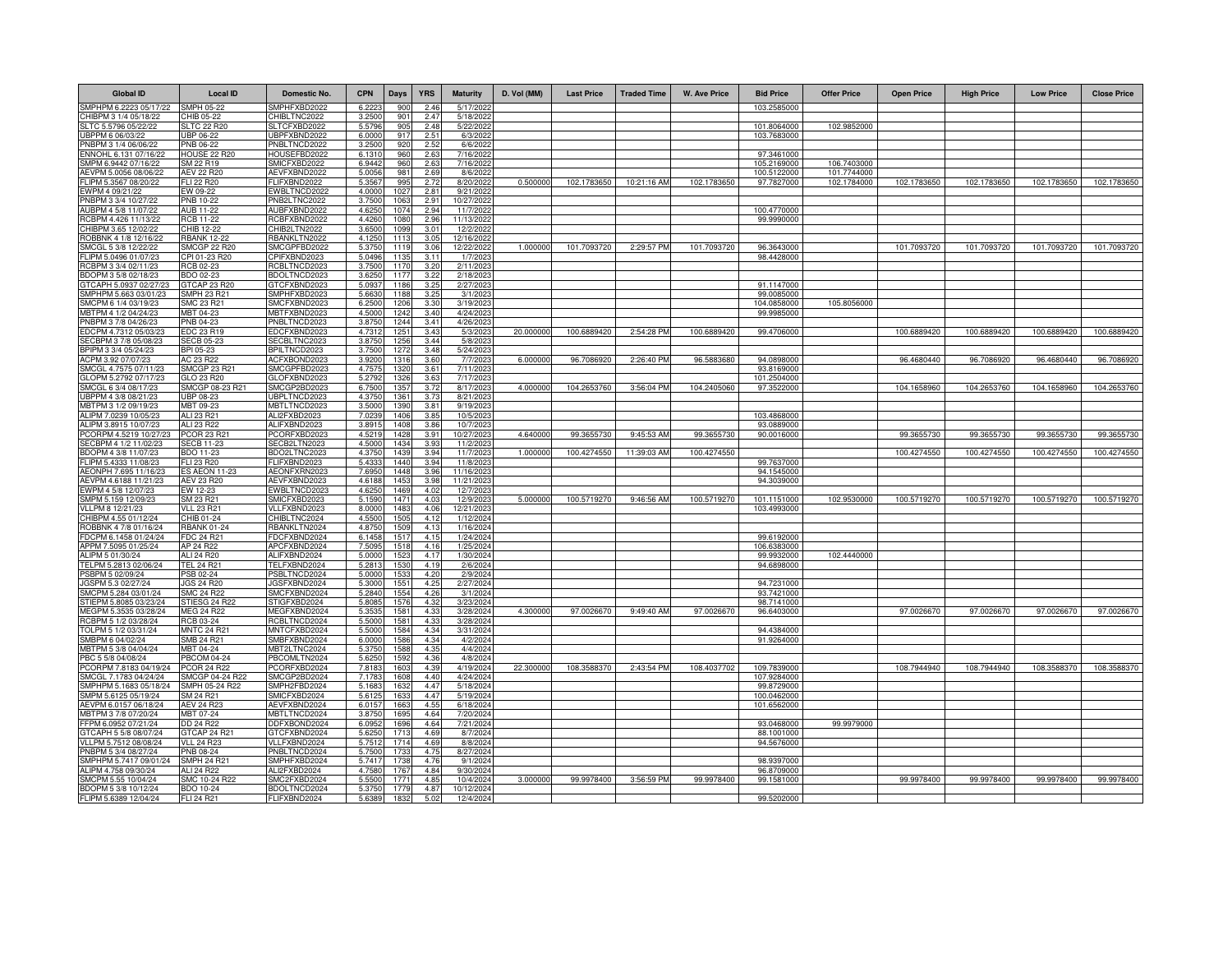| <b>Global ID</b>                                | <b>Local ID</b>                 | Domestic No.                 | <b>CPN</b>      | Days         | <b>YRS</b>               | <b>Maturity</b>         | D. Vol (MM) | <b>Last Price</b> | <b>Traded Time</b> | <b>W. Ave Price</b> | <b>Bid Price</b>          | <b>Offer Price</b> | <b>Open Price</b> | <b>High Price</b> | <b>Low Price</b> | <b>Close Price</b> |
|-------------------------------------------------|---------------------------------|------------------------------|-----------------|--------------|--------------------------|-------------------------|-------------|-------------------|--------------------|---------------------|---------------------------|--------------------|-------------------|-------------------|------------------|--------------------|
| SMPHPM 6.2223 05/17/22                          | SMPH 05-22                      | SMPHFXBD2022                 | 6.2223          | 900          | 2.46                     | 5/17/202                |             |                   |                    |                     | 103.2585000               |                    |                   |                   |                  |                    |
| CHIBPM 3 1/4 05/18/22                           | HIB 05-22                       | HIBLTNC2022                  | 3.2500          | 901          | 2.47                     | 5/18/2022               |             |                   |                    |                     |                           |                    |                   |                   |                  |                    |
| SLTC 5.5796 05/22/22                            | <b>SLTC 22 R20</b>              | SLTCFXBD2022                 | 5.579           | 905          | 2.48                     | 5/22/2022               |             |                   |                    |                     | 101.8064000               | 102.9852000        |                   |                   |                  |                    |
| JBPPM 6 06/03/22                                | JBP 06-22                       | JBPFXBND2022                 | 6.000           | 917          | 2.51<br>2.52             | 6/3/202                 |             |                   |                    |                     | 103.7683000               |                    |                   |                   |                  |                    |
| PNBPM 3 1/4 06/06/22<br>ENNOHL 6.131 07/16/22   | PNB 06-22<br>HOUSE 22 R20       | PNBLTNCD2022<br>HOUSEFBD2022 | 3.250<br>6.131  | 920<br>960   | 2.63                     | 6/6/2022<br>7/16/2022   |             |                   |                    |                     | 97.3461000                |                    |                   |                   |                  |                    |
| SMPM 6.9442 07/16/22                            | SM 22 R19                       | SMICFXBD2022                 | 6.9442          | 960          | 2.63                     | 7/16/2022               |             |                   |                    |                     | 105.2169000               | 106.7403000        |                   |                   |                  |                    |
| AEVPM 5.0056 08/06/22                           | AEV 22 R20                      | AEVFXBND2022                 | 5.005           | 981          | 2.69                     | 8/6/2022                |             |                   |                    |                     | 100.5122000               | 101.7744000        |                   |                   |                  |                    |
| FLIPM 5.3567 08/20/22                           | FLI 22 R20                      | FLIFXBND2022                 | 5.3567          | 995          | 2.72                     | 8/20/2022               | 0.500000    | 102.1783650       | 10:21:16 AM        | 102.1783650         | 97.7827000                | 102.1784000        | 102.1783650       | 102.1783650       | 102.1783650      | 102.1783650        |
| EWPM 4 09/21/22                                 | EW 09-22                        | EWBLTNCD2022                 | 4.000           | 1027         | 2.81                     | 9/21/2022               |             |                   |                    |                     |                           |                    |                   |                   |                  |                    |
| PNBPM 3 3/4 10/27/22<br>AUBPM 4 5/8 11/07/22    | PNB 10-22<br><b>AUB 11-22</b>   | PNB2LTNC2022<br>AUBFXBND2022 | 3.750<br>4.625  | 1063<br>1074 | 2.91<br>2.94             | 10/27/2022<br>11/7/2022 |             |                   |                    |                     | 100.4770000               |                    |                   |                   |                  |                    |
| RCBPM 4.426 11/13/22                            | <b>RCB 11-22</b>                | RCBFXBND2022                 | 4.426           | 1080         | 2.96                     | 11/13/2022              |             |                   |                    |                     | 99.9990000                |                    |                   |                   |                  |                    |
| CHIBPM 3.65 12/02/22                            | CHIB 12-22                      | CHIB2LTN2022                 | 3.650           | 1099         | 3.01                     | 12/2/202                |             |                   |                    |                     |                           |                    |                   |                   |                  |                    |
| ROBBNK 4 1/8 12/16/22                           | <b>RBANK 12-22</b>              | RBANKLTN2022                 | 4.125           | 1113         | 3.05                     | 12/16/2022              |             |                   |                    |                     |                           |                    |                   |                   |                  |                    |
| SMCGL 5 3/8 12/22/22                            | SMCGP 22 R20                    | SMCGPFBD2022                 | 5.375           | 1119         | 3.06                     | 12/22/2022              | 1.000000    | 101.7093720       | 2:29:57 PM         | 101.7093720         | 96.3643000                |                    | 101.7093720       | 101.7093720       | 101.7093720      | 101.7093720        |
| FLIPM 5.0496 01/07/23                           | CPI 01-23 R20                   | CPIFXBND2023                 | 5.049           | 1135         | 3.11                     | 1/7/2023                |             |                   |                    |                     | 98.4428000                |                    |                   |                   |                  |                    |
| RCBPM 3 3/4 02/11/23                            | GB 02-23                        | RCBLTNCD2023                 | 3.750           | 1170         | 3.20                     | 2/11/2023               |             |                   |                    |                     |                           |                    |                   |                   |                  |                    |
| BDOPM 3 5/8 02/18/23<br>GTCAPH 5.0937 02/27/23  | 3DO 02-23<br>TCAP 23 R20        | BDOLTNCD2023<br>GTCFXBND2023 | 3.625<br>5.093  | 1177<br>1186 | 3.22<br>3.25             | 2/18/2023<br>2/27/202   |             |                   |                    |                     | 91.1147000                |                    |                   |                   |                  |                    |
| SMPHPM 5.663 03/01/23                           | SMPH 23 R21                     | SMPHFXBD2023                 | 5.663           | 1188         | 3.25                     | 3/1/202                 |             |                   |                    |                     | 99.0085000                |                    |                   |                   |                  |                    |
| SMCPM 6 1/4 03/19/23                            | <b>SMC 23 R21</b>               | SMCFXBND2023                 | 6.250           | 1206         | 3.30                     | 3/19/202                |             |                   |                    |                     | 104.0858000               | 105.8056000        |                   |                   |                  |                    |
| MBTPM 4 1/2 04/24/23                            | MBT 04-23                       | MBTFXBND2023                 | 4.500           | 1242         | 3.40                     | 4/24/202                |             |                   |                    |                     | 99.9985000                |                    |                   |                   |                  |                    |
| PNBPM 3 7/8 04/26/23                            | PNB 04-23                       | PNBLTNCD2023                 | 3.875           | 1244         | 3.41                     | 4/26/2023               |             |                   |                    |                     |                           |                    |                   |                   |                  |                    |
| EDCPM 4.7312 05/03/23                           | EDC 23 R19                      | EDCFXBND2023                 | 4.731           | 1251         | 3.43                     | 5/3/2023                | 20.000000   | 100.6889420       | 2:54:28 PM         | 100.6889420         | 99.4706000                |                    | 100.6889420       | 100.6889420       | 100.6889420      | 100.6889420        |
| SECBPM 3 7/8 05/08/23                           | <b>SECB 05-23</b>               | SECBLTNC2023                 | 3.875           | 1256         | 3.44                     | 5/8/2023                |             |                   |                    |                     |                           |                    |                   |                   |                  |                    |
| BPIPM 3 3/4 05/24/23<br>ACPM 3.92 07/07/23      | BPI 05-23<br>AC 23 R22          | BPILTNCD2023<br>ACFXBOND2023 | 3.750<br>3.920  | 1272<br>1316 | 3.48<br>3.60             | 5/24/2023<br>7/7/2023   | 6.00000     | 96.7086920        | 2:26:40 PM         | 96.5883680          | 94.0898000                |                    | 96.4680440        | 96.7086920        | 96.4680440       | 96.7086920         |
| SMCGL 4.7575 07/11/23                           | <b>SMCGP 23 R21</b>             | SMCGPFBD2023                 | 4.757           | 1320         | 3.61                     | 7/11/2023               |             |                   |                    |                     | 93.8169000                |                    |                   |                   |                  |                    |
| GLOPM 5.2792 07/17/23                           | GLO 23 R20                      | GLOFXBND2023                 | 5.279           | 1326         | 3.63                     | 7/17/2023               |             |                   |                    |                     | 101.2504000               |                    |                   |                   |                  |                    |
| SMCGL 6 3/4 08/17/23                            | SMCGP 08-23 R21                 | SMCGP2BD2023                 | 6.750           | 1357         | 3.72                     | 8/17/2023               | 4.000000    | 104.2653760       | 3:56:04 PM         | 104.2405060         | 97.3522000                |                    | 104.1658960       | 104.2653760       | 104.1658960      | 104.2653760        |
| UBPPM 4 3/8 08/21/23                            | <b>UBP 08-23</b>                | UBPLTNCD2023                 | 4.375           | 1361         | 3.73                     | 8/21/2023               |             |                   |                    |                     |                           |                    |                   |                   |                  |                    |
| MBTPM 3 1/2 09/19/23                            | MBT 09-23                       | MBTLTNCD2023                 | 3.500           | 1390         | 3.81                     | 9/19/2023               |             |                   |                    |                     |                           |                    |                   |                   |                  |                    |
| ALIPM 7.0239 10/05/23                           | ALI 23 R21<br>ALI 23 R22        | ALI2FXBD2023<br>ALIFXBND2023 | 7.023<br>3.891  | 1406         | 3.85<br>3.86             | 10/5/2023<br>10/7/2023  |             |                   |                    |                     | 103.4868000<br>93.0889000 |                    |                   |                   |                  |                    |
| ALIPM 3.8915 10/07/23<br>PCORPM 4.5219 10/27/23 | <b>PCOR 23 R21</b>              | PCORFXBD2023                 | 4.5219          | 1408<br>1428 | 3.91                     | 10/27/2023              | 4.64000     | 99.3655730        | 9:45:53 AM         | 99.3655730          | 90.0016000                |                    | 99.3655730        | 99.3655730        | 99.3655730       | 99.3655730         |
| SECBPM 4 1/2 11/02/23                           | <b>SECB 11-23</b>               | SECB2LTN2023                 | 4.500           | 1434         | 3.93                     | 11/2/202                |             |                   |                    |                     |                           |                    |                   |                   |                  |                    |
| BDOPM 4 3/8 11/07/23                            | BDO 11-23                       | BDO2LTNC2023                 | 4,375           | 143          | 3.94                     | 11/7/202                | 1.00000     | 100.4274550       | 11:39:03 AM        | 100.4274550         |                           |                    | 100.4274550       | 100.4274550       | 100.4274550      | 100.4274550        |
| FLIPM 5.4333 11/08/23                           | FLI 23 R20                      | FLIFXBND2023                 | 5.433           | 1440         | 3.94                     | 11/8/202                |             |                   |                    |                     | 99.7637000                |                    |                   |                   |                  |                    |
| AEONPH 7.695 11/16/23                           | <b>ES AEON 11-23</b>            | AEONFXRN2023                 | 7.695           | 1448         | 3.96                     | 11/16/202               |             |                   |                    |                     | 94.1545000                |                    |                   |                   |                  |                    |
| AEVPM 4.6188 11/21/23<br>EWPM 4 5/8 12/07/23    | AEV 23 R20<br>EW 12-23          | AEVFXBND2023                 | 4.618<br>4.625  | 1453<br>1469 | 3.98<br>4.02             | 11/21/202<br>12/7/2023  |             |                   |                    |                     | 94.3039000                |                    |                   |                   |                  |                    |
| SMPM 5.159 12/09/23                             | SM 23 R21                       | EWBLTNCD2023<br>SMICFXBD2023 | 5.159           | 1471         | 4.03                     | 12/9/2023               | 5.000000    | 100.5719270       | 9:46:56 AM         | 100.5719270         | 101.1151000               | 102.9530000        | 100.5719270       | 100.5719270       | 100.5719270      | 100.5719270        |
| VLLPM 8 12/21/23                                | <b>VLL 23 R21</b>               | VLLFXBND2023                 | 8.0000          | 1483         | 4.06                     | 12/21/2023              |             |                   |                    |                     | 103.4993000               |                    |                   |                   |                  |                    |
| CHIBPM 4.55 01/12/24                            | CHIB 01-24                      | CHIBLTNC2024                 | 4.550           | 1505         | 4.12                     | 1/12/2024               |             |                   |                    |                     |                           |                    |                   |                   |                  |                    |
| ROBBNK 4 7/8 01/16/24                           | <b>RBANK 01-24</b>              | RBANKLTN2024                 | 4.875           | 1509         | 4.13                     | 1/16/2024               |             |                   |                    |                     |                           |                    |                   |                   |                  |                    |
| FDCPM 6.1458 01/24/24                           | <b>FDC 24 R21</b>               | FDCFXBND2024                 | 6.145           | 1517         | 4.15                     | 1/24/2024               |             |                   |                    |                     | 99.6192000                |                    |                   |                   |                  |                    |
| APPM 7.5095 01/25/24                            | AP 24 R22                       | APCFXBND2024                 | 7.509           | 1518         | 4.16                     | 1/25/2024               |             |                   |                    |                     | 106.6383000               |                    |                   |                   |                  |                    |
| ALIPM 5 01/30/24<br>TELPM 5.2813 02/06/24       | ALI 24 R20<br><b>TEL 24 R21</b> | ALIFXBND2024<br>TELFXBND2024 | 5.000<br>5.281  | 1523<br>1530 | 4.17<br>4.19             | 1/30/2024<br>2/6/2024   |             |                   |                    |                     | 99.9932000<br>94.6898000  | 102.4440000        |                   |                   |                  |                    |
| PSBPM 5 02/09/24                                | PSB 02-24                       | PSBLTNCD2024                 | 5.000           | 153          | 4.20                     | 2/9/2024                |             |                   |                    |                     |                           |                    |                   |                   |                  |                    |
| IGSPM 5.3 02/27/24                              | <b>JGS 24 R20</b>               | JGSFXBND2024                 | 5.300           | 1551         | 4.25                     | 2/27/2024               |             |                   |                    |                     | 94.7231000                |                    |                   |                   |                  |                    |
| SMCPM 5.284 03/01/24                            | <b>SMC 24 R22</b>               | SMCFXBND2024                 | 5.2840          | 1554         | 4.26                     | 3/1/2024                |             |                   |                    |                     | 93.7421000                |                    |                   |                   |                  |                    |
| STIEPM 5.8085 03/23/24                          | STIESG 24 R22                   | STIGFXBD2024                 | 5.8085          | 1576         | 4.32                     | 3/23/2024               |             |                   |                    |                     | 98.7141000                |                    |                   |                   |                  |                    |
| MEGPM 5.3535 03/28/24<br>RCBPM 5 1/2 03/28/24   | <b>MEG 24 R22</b><br>RCB 03-24  | MEGFXBND2024<br>RCBLTNCD2024 | 5.353<br>5,500  | 1581<br>1581 | 4.3 <sup>′</sup><br>4.33 | 3/28/2024<br>3/28/2024  | 4.300000    | 97.0026670        | 9:49:40 AM         | 97.0026670          | 96.6403000                |                    | 97.0026670        | 97.0026670        | 97.0026670       | 97.0026670         |
| TOLPM 5 1/2 03/31/24                            | <b>MNTC 24 R21</b>              | MNTCFXBD2024                 | 5.500           | 1584         | 4.34                     | 3/31/2024               |             |                   |                    |                     | 94.4384000                |                    |                   |                   |                  |                    |
| SMBPM 6 04/02/24                                | <b>SMB 24 R21</b>               | SMBFXBND2024                 | 6.000           | 1586         | 4.34                     | 4/2/2024                |             |                   |                    |                     | 91.9264000                |                    |                   |                   |                  |                    |
| MBTPM 5 3/8 04/04/24                            | MBT 04-24                       | MBT2LTNC2024                 | 5.375           | 158          | 4.35                     | 4/4/2024                |             |                   |                    |                     |                           |                    |                   |                   |                  |                    |
| PBC 5 5/8 04/08/24                              | <b>PBCOM 04-24</b>              | PBCOMLTN2024                 | 5.625           | 1592         | 4.36                     | 4/8/2024                |             |                   |                    |                     |                           |                    |                   |                   |                  |                    |
| PCORPM 7.8183 04/19/24                          | <b>PCOR 24 R22</b>              | PCORFXBD2024                 | 7.8183          | 1603         | 4.39                     | 4/19/2024               | 22.300000   | 108.3588370       | 2:43:54 PM         | 108.4037702         | 109.7839000               |                    | 108.7944940       | 108.7944940       | 108.3588370      | 108.3588370        |
| SMCGL 7.1783 04/24/24                           | SMCGP 04-24 R22                 | SMCGP2BD2024                 | 7.1783          | 1608         | 4.40                     | 4/24/2024               |             |                   |                    |                     | 107.9284000               |                    |                   |                   |                  |                    |
| SMPHPM 5.1683 05/18/24<br>SMPM 5.6125 05/19/24  | SMPH 05-24 R22<br>SM 24 R21     | SMPH2FBD2024<br>SMICFXBD2024 | 5.168<br>5.612  | 163<br>1633  | 4.47<br>4.47             | 5/18/2024<br>5/19/2024  |             |                   |                    |                     | 99.8729000<br>100.0462000 |                    |                   |                   |                  |                    |
| AEVPM 6.0157 06/18/24                           | <b>AEV 24 R23</b>               | AEVFXBND2024                 | 6.015           | 1663         | 4.55                     | 6/18/2024               |             |                   |                    |                     | 101.6562000               |                    |                   |                   |                  |                    |
| MBTPM 3 7/8 07/20/24                            | MBT 07-24                       | MBTLTNCD2024                 | 3.875           | 1695         | 4.64                     | 7/20/2024               |             |                   |                    |                     |                           |                    |                   |                   |                  |                    |
| FFPM 6.0952 07/21/24                            | DD 24 R22                       | DDFXBOND2024                 | 6.095           | 1696         | 4.64                     | 7/21/2024               |             |                   |                    |                     | 93.0468000                | 99.9979000         |                   |                   |                  |                    |
| GTCAPH 5 5/8 08/07/24                           | GTCAP 24 R21                    | GTCFXBND2024                 | 5.625           | 1713         | 4.69                     | 8/7/2024                |             |                   |                    |                     | 88.1001000                |                    |                   |                   |                  |                    |
| VLLPM 5.7512 08/08/24                           | <b>VLL 24 R23</b>               | VLLFXBND2024                 | 5.751           | 1714         | 4.69                     | 8/8/2024                |             |                   |                    |                     | 94.5676000                |                    |                   |                   |                  |                    |
| PNBPM 5 3/4 08/27/24<br>SMPHPM 5.7417 09/01/24  | PNB 08-24<br><b>SMPH 24 R21</b> | PNBLTNCD2024<br>SMPHFXBD2024 | 5.7500<br>5.741 | 1733<br>1738 | 4.75<br>4.76             | 8/27/2024               |             |                   |                    |                     | 98.9397000                |                    |                   |                   |                  |                    |
| ALIPM 4.758 09/30/24                            | ALI 24 R22                      | ALI2FXBD2024                 | 4.7580          | 1767         | 4.84                     | 9/1/2024<br>9/30/2024   |             |                   |                    |                     | 96.8709000                |                    |                   |                   |                  |                    |
| SMCPM 5.55 10/04/24                             | SMC 10-24 R22                   | SMC2FXBD2024                 | 5.550           | 177'         | 4.85                     | 10/4/2024               | 3,000000    | 99.9978400        | 3:56:59 PM         | 99.9978400          | 99.1581000                |                    | 99.9978400        | 99.9978400        | 99.9978400       | 99.9978400         |
| BDOPM 5 3/8 10/12/24                            | <b>BDO 10-24</b>                | BDOLTNCD2024                 | 5.375           | 177          | 4.87                     | 10/12/2024              |             |                   |                    |                     |                           |                    |                   |                   |                  |                    |
| FLIPM 5.6389 12/04/24                           | FLI 24 R21                      | FLIFXBND2024                 | 5.638           | 183          | 5.02                     | 12/4/2024               |             |                   |                    |                     | 99.5202000                |                    |                   |                   |                  |                    |